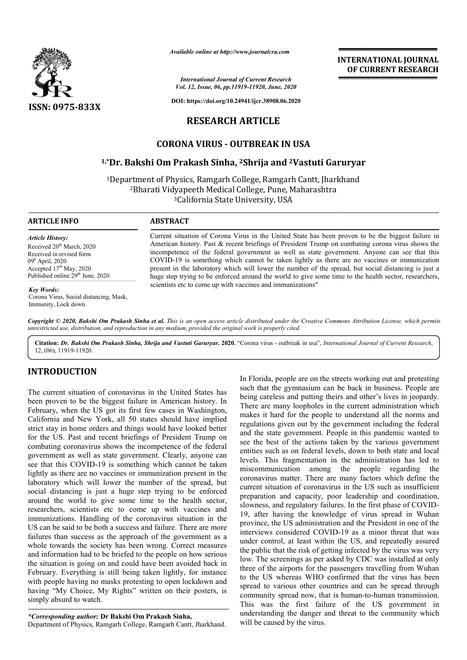

*Available online at http://www.journalcra.com*

*International Journal of Current Research Vol. 12, Issue, 06, pp.11919-11920, June, 2020*

**DOI: https://doi.org/10.24941/ijcr.38908.06.2020**

# **RESEARCH ARTICLE**

# **CORONA VIRUS - OUTBREAK IN USA**

### **1,\*Dr. Bakshi Om Prakash Sinha, 2Shrija and 2Vastuti Garuryar Vastuti Garuryar**

<sup>1</sup>Department of Physics, Ramgarh College, Ramgarh Cantt, Jharkhand <sup>2</sup>Bharati Vidyapeeth Medical College, Pune, Maharashtra 3California State University, USA

### **ARTICLE INFO ABSTRACT**

*Article History:* Received 20<sup>th</sup> March, 2020 Received in revised form 09h April, 2020 Accepted  $17<sup>th</sup>$  May, 2020 Published online  $29^{th}$  June, 2020

### *Key Words:*

Corona Virus, Social distancing, Mask, Immunity, Lock down.

Current situation of Corona Virus in the United State has been proven to be the biggest failure in American history. Past & recent briefings of President Trump on combating corona virus shows the incompetence of the federal government as well as state government. Anyone can see that this COVID COVID-19 is something which cannot be taken lightly as there are no vaccines or immunization present in the laboratory which will lower the number of the spread, but social distancing is just a huge step trying to be enforced around the world to give some time to the health sector, researchers, scientists etc to come up with vaccines and immunizations" Current situation of Corona Virus in the United State has been proven to be the biggest failure in<br>American history. Past & recent briefings of President Trump on combating corona virus shows the<br>incompetence of the federa COVID-19 is something which cannot be taken lightly as there are no vaccines or immuni<br>present in the laboratory which will lower the number of the spread, but social distancing is<br>huge step trying to be enforced around th

**INTERNATIONAL JOURNAL OF CURRENT RESEARCH**

Copyright © 2020, Bakshi Om Prakash Sinha et al. This is an open access article distributed under the Creative Commons Attribution License, which permits *unrestricted use, distribution, and reproduction in any medium, provided the original work is properly cited.*

Citation: Dr. Bakshi Om Prakash Sinha, Shrija and Vastuti Garuryar. 2020. "Corona virus - outbreak in usa", International Journal of Current Research, 12, (06), 11919-11920.

### **INTRODUCTION**

The current situation of coronavirus in the United States has been proven to be the biggest failure in American history. In February, when the US got its first few cases in Washington, California and New York, all 50 states should have implied strict stay in home orders and things would have looked better for the US. Past and recent briefings of President Trump on combating coronavirus shows the incompetence of the federal government as well as state government. Clearly, anyone can see that this COVID-19 is something which cannot be taken lightly as there are no vaccines or immunization present in the laboratory which will lower the number of the spread, but social distancing is just a huge step trying to be enforced around the world to give some time to the health sector, researchers, scientists etc to come up with vaccines and immunizations. Handling of the coronavirus situation in the US can be said to be both a success and failure. There are more failures than success as the approach of the government as a whole towards the society has been wrong. Correct measures and information had to be briefed to the people on how serious the situation is going on and could have been avoided back in February. Everything is still being taken lightly, for instance with people having no masks protesting to open lockdown and having "My Choice, My Rights" written on their posters, is simply absurd to watch.

*\*Corresponding author:* **Dr Bakshi Om Prakash Sinha Sinha,** Department of Physics, Ramgarh College, Ramgarh Cantt, Jharkhand. In Florida, people are on the streets working out and protesting such that the gymnasium can be back in business. People are being careless and putting theirs and other's lives in jeopardy. There are many loopholes in the current administration which makes it hard for the people to understand all the norms and regulations given out by the government including the federal and the state government. People in this pandemic wanted to see the best of the actions taken by the various government entities such as on federal levels, down to both state and local levels. This fragmentation in the administration has led to miscommunication among the people regarding the coronavirus matter. There are many factors which define the current situation of coronavirus in the US such as insufficient preparation and capacity, poor leadership and coordination, slowness, and regulatory failures. In the first phase of COVID-19, after having the knowledge of virus spread in Wuhan province, the US administration and the President in one of the interviews considered COVID-19 as a minor threat that was under control, at least within the US, and repeatedly assured the public that the risk of getting infected by the virus was very under control, at least within the US, and repeatedly assured<br>the public that the risk of getting infected by the virus was very<br>low. The screenings as per asked by CDC was installed at only three of the airports for the passengers travelling from Wuhan to the US whereas WHO confirmed that the virus has been spread to various other countries and can be spread through three of the airports for the passengers travelling from Wuhan<br>to the US whereas WHO confirmed that the virus has been<br>spread to various other countries and can be spread through<br>community spread now, that is human-to-huma This was the first failure of the US government in understanding the danger and threat to the community which will be caused by the virus. rida, people are on the streets working out and protesting hat the gymnasium can be back in business. People are careless and putting theirs and other's lives in jeopardy. Are many loopholes in the current administration w **INTERNATIONAL JOURNAL**<br> **Converge to the CONNEMIC CONNEMIC CONNEMIC CONNEMIC CONNEMIC CONNEMIC 2020<br>
<b>Converge to the CONNEMIC CONNEMIC CONNEMIC CONNEMIC CONNEMIC CONNEMIC CONNEMIC CONNEMIC CONNEMIC CONNEMIC CONNEMIC CONN**